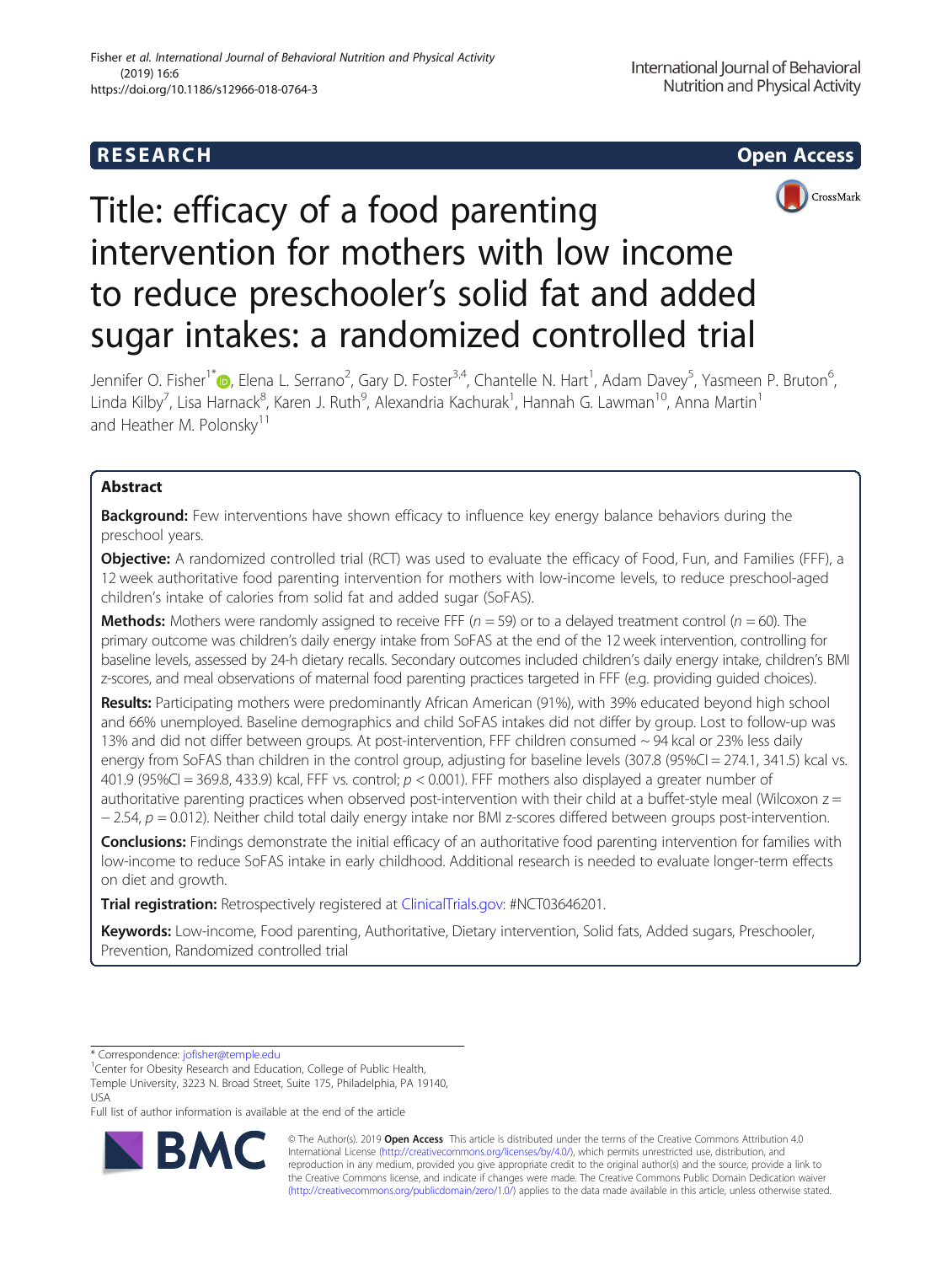## **RESEARCH CHEAR CHEAR CHEAR CHEAR CHEAR CHEAR CHEAR CHEAR CHEAR CHEAR CHEAR CHEAR CHEAR CHEAR CHEAR CHEAR CHEAR**





# Title: efficacy of a food parenting intervention for mothers with low income to reduce preschooler's solid fat and added sugar intakes: a randomized controlled trial

Jennifer O. Fisher<sup>1[\\*](http://orcid.org/0000-0002-8804-5857)</sup>®, Elena L. Serrano<sup>2</sup>, Gary D. Foster<sup>3,4</sup>, Chantelle N. Hart<sup>1</sup>, Adam Davey<sup>5</sup>, Yasmeen P. Bruton<sup>6</sup> , Linda Kilby<sup>7</sup>, Lisa Harnack<sup>8</sup>, Karen J. Ruth<sup>9</sup>, Alexandria Kachurak<sup>1</sup>, Hannah G. Lawman<sup>10</sup>, Anna Martin<sup>1</sup> and Heather M. Polonsky<sup>11</sup>

## Abstract

**Background:** Few interventions have shown efficacy to influence key energy balance behaviors during the preschool years.

Objective: A randomized controlled trial (RCT) was used to evaluate the efficacy of Food, Fun, and Families (FFF), a 12 week authoritative food parenting intervention for mothers with low-income levels, to reduce preschool-aged children's intake of calories from solid fat and added sugar (SoFAS).

**Methods:** Mothers were randomly assigned to receive FFF ( $n = 59$ ) or to a delayed treatment control ( $n = 60$ ). The primary outcome was children's daily energy intake from SoFAS at the end of the 12 week intervention, controlling for baseline levels, assessed by 24-h dietary recalls. Secondary outcomes included children's daily energy intake, children's BMI z-scores, and meal observations of maternal food parenting practices targeted in FFF (e.g. providing guided choices).

Results: Participating mothers were predominantly African American (91%), with 39% educated beyond high school and 66% unemployed. Baseline demographics and child SoFAS intakes did not differ by group. Lost to follow-up was 13% and did not differ between groups. At post-intervention, FFF children consumed ~ 94 kcal or 23% less daily energy from SoFAS than children in the control group, adjusting for baseline levels (307.8 (95%CI = 274.1, 341.5) kcal vs. 401.9 (95%CI = 369.8, 433.9) kcal, FFF vs. control;  $p < 0.001$ ). FFF mothers also displayed a greater number of authoritative parenting practices when observed post-intervention with their child at a buffet-style meal (Wilcoxon  $z =$  $-$  2.54,  $p$  = 0.012). Neither child total daily energy intake nor BMI z-scores differed between groups post-intervention.

Conclusions: Findings demonstrate the initial efficacy of an authoritative food parenting intervention for families with low-income to reduce SoFAS intake in early childhood. Additional research is needed to evaluate longer-term effects on diet and growth.

Trial registration: Retrospectively registered at [ClinicalTrials.gov:](http://clinicaltrials.gov) #NCT03646201.

Keywords: Low-income, Food parenting, Authoritative, Dietary intervention, Solid fats, Added sugars, Preschooler, Prevention, Randomized controlled trial

<sup>1</sup> Center for Obesity Research and Education, College of Public Health, Temple University, 3223 N. Broad Street, Suite 175, Philadelphia, PA 19140, USA

Full list of author information is available at the end of the article



© The Author(s). 2019 **Open Access** This article is distributed under the terms of the Creative Commons Attribution 4.0 International License [\(http://creativecommons.org/licenses/by/4.0/](http://creativecommons.org/licenses/by/4.0/)), which permits unrestricted use, distribution, and reproduction in any medium, provided you give appropriate credit to the original author(s) and the source, provide a link to the Creative Commons license, and indicate if changes were made. The Creative Commons Public Domain Dedication waiver [\(http://creativecommons.org/publicdomain/zero/1.0/](http://creativecommons.org/publicdomain/zero/1.0/)) applies to the data made available in this article, unless otherwise stated.

<sup>\*</sup> Correspondence: [jofisher@temple.edu](mailto:jofisher@temple.edu) <sup>1</sup>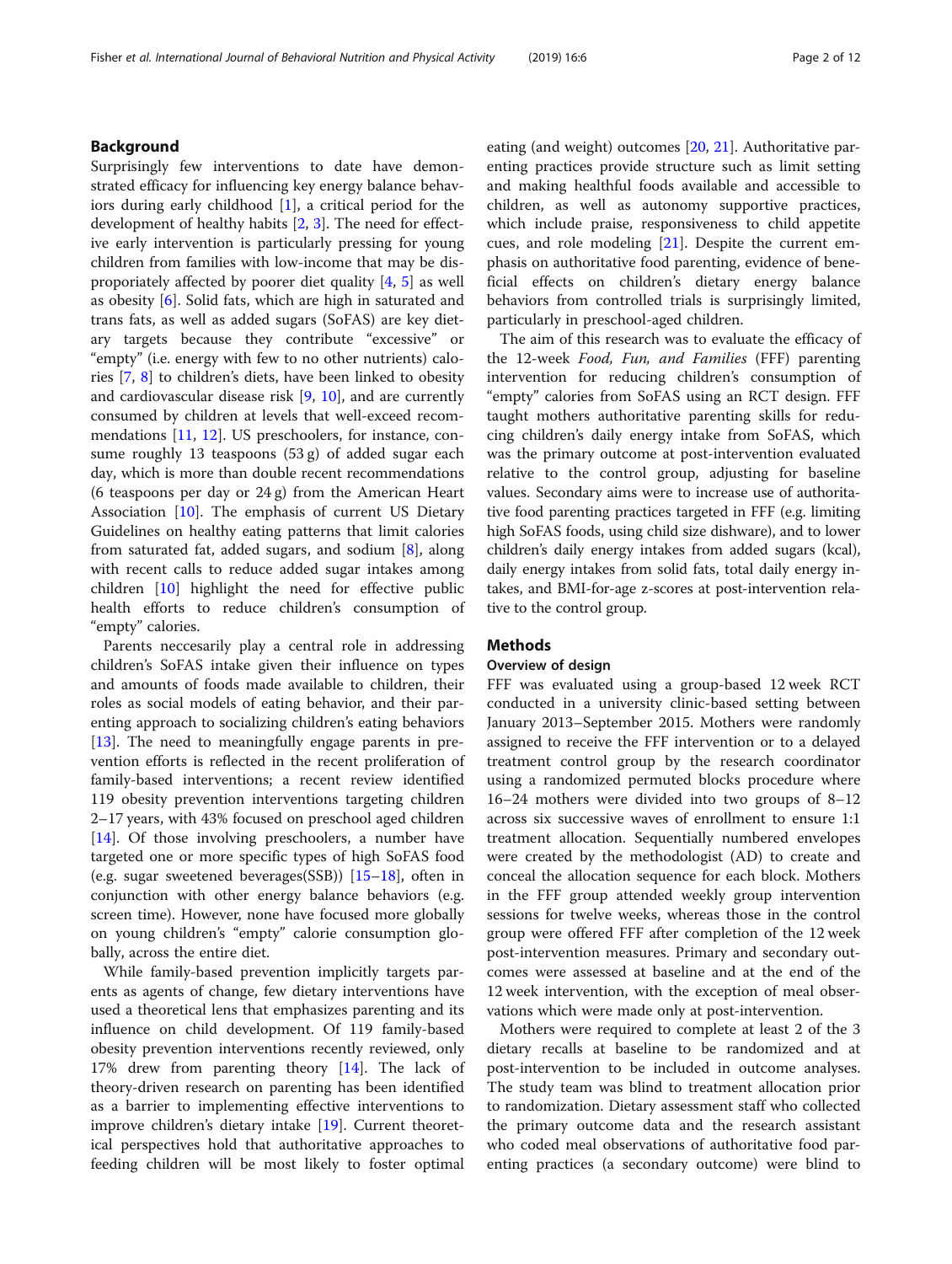## Background

Surprisingly few interventions to date have demonstrated efficacy for influencing key energy balance behaviors during early childhood  $[1]$  $[1]$ , a critical period for the development of healthy habits [\[2](#page-10-0), [3\]](#page-10-0). The need for effective early intervention is particularly pressing for young children from families with low-income that may be disproporiately affected by poorer diet quality [[4,](#page-10-0) [5](#page-10-0)] as well as obesity [[6\]](#page-10-0). Solid fats, which are high in saturated and trans fats, as well as added sugars (SoFAS) are key dietary targets because they contribute "excessive" or "empty" (i.e. energy with few to no other nutrients) calories [[7](#page-10-0), [8\]](#page-10-0) to children's diets, have been linked to obesity and cardiovascular disease risk [\[9](#page-10-0), [10\]](#page-10-0), and are currently consumed by children at levels that well-exceed recommendations [[11,](#page-10-0) [12](#page-10-0)]. US preschoolers, for instance, consume roughly 13 teaspoons (53 g) of added sugar each day, which is more than double recent recommendations (6 teaspoons per day or 24 g) from the American Heart Association [\[10\]](#page-10-0). The emphasis of current US Dietary Guidelines on healthy eating patterns that limit calories from saturated fat, added sugars, and sodium [\[8](#page-10-0)], along with recent calls to reduce added sugar intakes among children [[10\]](#page-10-0) highlight the need for effective public health efforts to reduce children's consumption of "empty" calories.

Parents neccesarily play a central role in addressing children's SoFAS intake given their influence on types and amounts of foods made available to children, their roles as social models of eating behavior, and their parenting approach to socializing children's eating behaviors [[13\]](#page-10-0). The need to meaningfully engage parents in prevention efforts is reflected in the recent proliferation of family-based interventions; a recent review identified 119 obesity prevention interventions targeting children 2–17 years, with 43% focused on preschool aged children [[14\]](#page-10-0). Of those involving preschoolers, a number have targeted one or more specific types of high SoFAS food (e.g. sugar sweetened beverages(SSB))  $[15-18]$  $[15-18]$  $[15-18]$ , often in conjunction with other energy balance behaviors (e.g. screen time). However, none have focused more globally on young children's "empty" calorie consumption globally, across the entire diet.

While family-based prevention implicitly targets parents as agents of change, few dietary interventions have used a theoretical lens that emphasizes parenting and its influence on child development. Of 119 family-based obesity prevention interventions recently reviewed, only 17% drew from parenting theory [[14\]](#page-10-0). The lack of theory-driven research on parenting has been identified as a barrier to implementing effective interventions to improve children's dietary intake [[19\]](#page-10-0). Current theoretical perspectives hold that authoritative approaches to feeding children will be most likely to foster optimal

eating (and weight) outcomes [[20,](#page-10-0) [21\]](#page-10-0). Authoritative parenting practices provide structure such as limit setting and making healthful foods available and accessible to children, as well as autonomy supportive practices, which include praise, responsiveness to child appetite cues, and role modeling [\[21](#page-10-0)]. Despite the current emphasis on authoritative food parenting, evidence of beneficial effects on children's dietary energy balance behaviors from controlled trials is surprisingly limited, particularly in preschool-aged children.

The aim of this research was to evaluate the efficacy of the 12-week Food, Fun, and Families (FFF) parenting intervention for reducing children's consumption of "empty" calories from SoFAS using an RCT design. FFF taught mothers authoritative parenting skills for reducing children's daily energy intake from SoFAS, which was the primary outcome at post-intervention evaluated relative to the control group, adjusting for baseline values. Secondary aims were to increase use of authoritative food parenting practices targeted in FFF (e.g. limiting high SoFAS foods, using child size dishware), and to lower children's daily energy intakes from added sugars (kcal), daily energy intakes from solid fats, total daily energy intakes, and BMI-for-age z-scores at post-intervention relative to the control group.

#### **Methods**

#### Overview of design

FFF was evaluated using a group-based 12 week RCT conducted in a university clinic-based setting between January 2013–September 2015. Mothers were randomly assigned to receive the FFF intervention or to a delayed treatment control group by the research coordinator using a randomized permuted blocks procedure where 16–24 mothers were divided into two groups of 8–12 across six successive waves of enrollment to ensure 1:1 treatment allocation. Sequentially numbered envelopes were created by the methodologist (AD) to create and conceal the allocation sequence for each block. Mothers in the FFF group attended weekly group intervention sessions for twelve weeks, whereas those in the control group were offered FFF after completion of the 12 week post-intervention measures. Primary and secondary outcomes were assessed at baseline and at the end of the 12 week intervention, with the exception of meal observations which were made only at post-intervention.

Mothers were required to complete at least 2 of the 3 dietary recalls at baseline to be randomized and at post-intervention to be included in outcome analyses. The study team was blind to treatment allocation prior to randomization. Dietary assessment staff who collected the primary outcome data and the research assistant who coded meal observations of authoritative food parenting practices (a secondary outcome) were blind to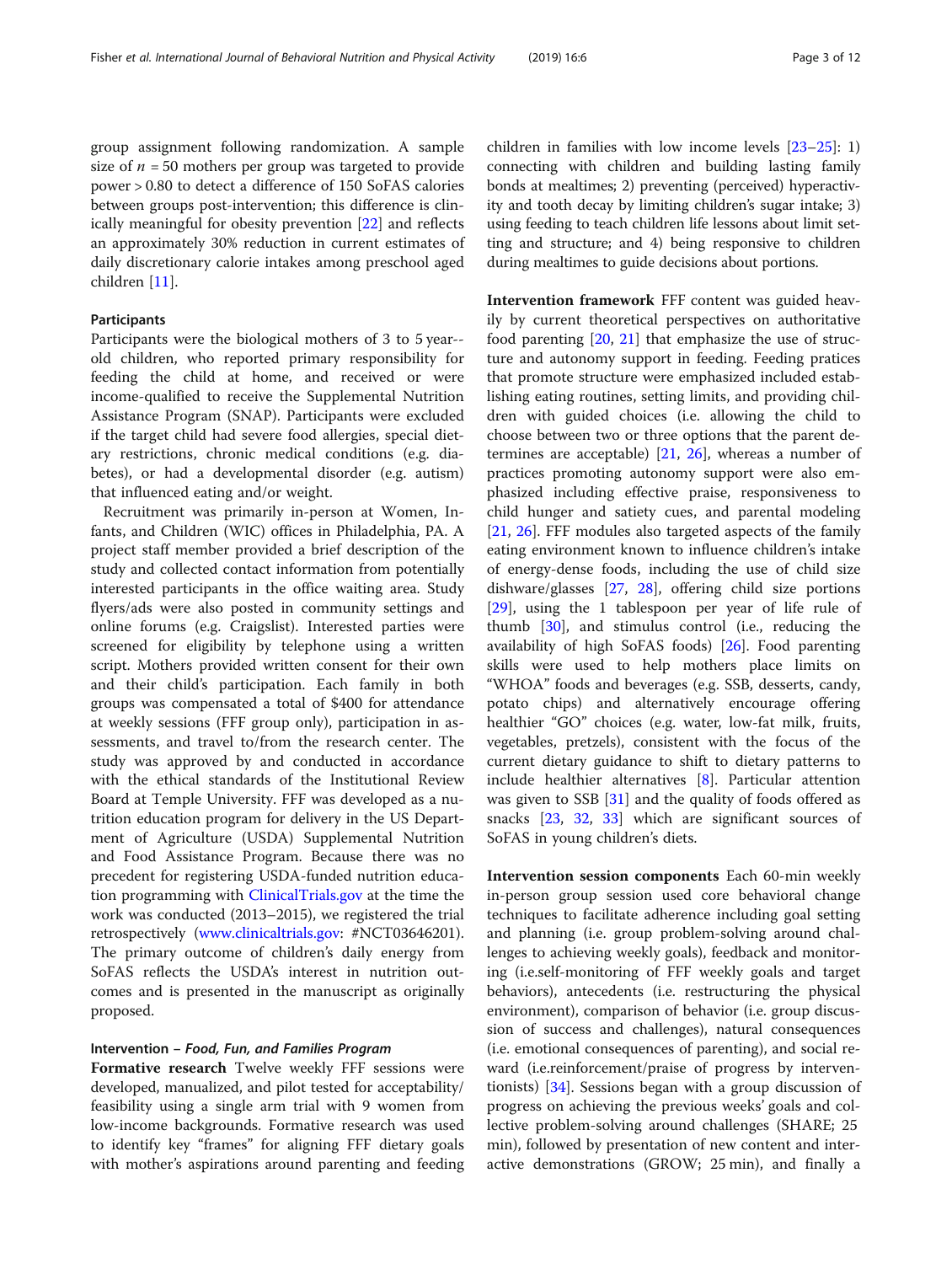group assignment following randomization. A sample size of  $n = 50$  mothers per group was targeted to provide power > 0.80 to detect a difference of 150 SoFAS calories between groups post-intervention; this difference is clinically meaningful for obesity prevention [[22\]](#page-10-0) and reflects an approximately 30% reduction in current estimates of daily discretionary calorie intakes among preschool aged children [\[11](#page-10-0)].

## Participants

Participants were the biological mothers of 3 to 5 year- old children, who reported primary responsibility for feeding the child at home, and received or were income-qualified to receive the Supplemental Nutrition Assistance Program (SNAP). Participants were excluded if the target child had severe food allergies, special dietary restrictions, chronic medical conditions (e.g. diabetes), or had a developmental disorder (e.g. autism) that influenced eating and/or weight.

Recruitment was primarily in-person at Women, Infants, and Children (WIC) offices in Philadelphia, PA. A project staff member provided a brief description of the study and collected contact information from potentially interested participants in the office waiting area. Study flyers/ads were also posted in community settings and online forums (e.g. Craigslist). Interested parties were screened for eligibility by telephone using a written script. Mothers provided written consent for their own and their child's participation. Each family in both groups was compensated a total of \$400 for attendance at weekly sessions (FFF group only), participation in assessments, and travel to/from the research center. The study was approved by and conducted in accordance with the ethical standards of the Institutional Review Board at Temple University. FFF was developed as a nutrition education program for delivery in the US Department of Agriculture (USDA) Supplemental Nutrition and Food Assistance Program. Because there was no precedent for registering USDA-funded nutrition education programming with [ClinicalTrials.gov](http://clinicaltrials.gov) at the time the work was conducted (2013–2015), we registered the trial retrospectively [\(www.clinicaltrials.gov:](http://www.clinicaltrials.gov) #NCT03646201). The primary outcome of children's daily energy from SoFAS reflects the USDA's interest in nutrition outcomes and is presented in the manuscript as originally proposed.

#### Intervention – Food, Fun, and Families Program

Formative research Twelve weekly FFF sessions were developed, manualized, and pilot tested for acceptability/ feasibility using a single arm trial with 9 women from low-income backgrounds. Formative research was used to identify key "frames" for aligning FFF dietary goals with mother's aspirations around parenting and feeding children in families with low income levels [\[23](#page-10-0)–[25\]](#page-10-0): 1) connecting with children and building lasting family bonds at mealtimes; 2) preventing (perceived) hyperactivity and tooth decay by limiting children's sugar intake; 3) using feeding to teach children life lessons about limit setting and structure; and 4) being responsive to children during mealtimes to guide decisions about portions.

Intervention framework FFF content was guided heavily by current theoretical perspectives on authoritative food parenting [\[20,](#page-10-0) [21](#page-10-0)] that emphasize the use of structure and autonomy support in feeding. Feeding pratices that promote structure were emphasized included establishing eating routines, setting limits, and providing children with guided choices (i.e. allowing the child to choose between two or three options that the parent determines are acceptable)  $[21, 26]$  $[21, 26]$  $[21, 26]$  $[21, 26]$ , whereas a number of practices promoting autonomy support were also emphasized including effective praise, responsiveness to child hunger and satiety cues, and parental modeling [[21,](#page-10-0) [26\]](#page-10-0). FFF modules also targeted aspects of the family eating environment known to influence children's intake of energy-dense foods, including the use of child size dishware/glasses [\[27,](#page-10-0) [28\]](#page-10-0), offering child size portions [[29\]](#page-10-0), using the 1 tablespoon per year of life rule of thumb [\[30](#page-10-0)], and stimulus control (i.e., reducing the availability of high SoFAS foods) [[26\]](#page-10-0). Food parenting skills were used to help mothers place limits on "WHOA" foods and beverages (e.g. SSB, desserts, candy, potato chips) and alternatively encourage offering healthier "GO" choices (e.g. water, low-fat milk, fruits, vegetables, pretzels), consistent with the focus of the current dietary guidance to shift to dietary patterns to include healthier alternatives [\[8](#page-10-0)]. Particular attention was given to SSB  $[31]$  $[31]$  and the quality of foods offered as snacks [[23,](#page-10-0) [32,](#page-10-0) [33](#page-10-0)] which are significant sources of SoFAS in young children's diets.

Intervention session components Each 60-min weekly in-person group session used core behavioral change techniques to facilitate adherence including goal setting and planning (i.e. group problem-solving around challenges to achieving weekly goals), feedback and monitoring (i.e.self-monitoring of FFF weekly goals and target behaviors), antecedents (i.e. restructuring the physical environment), comparison of behavior (i.e. group discussion of success and challenges), natural consequences (i.e. emotional consequences of parenting), and social reward (i.e.reinforcement/praise of progress by interventionists) [\[34](#page-10-0)]. Sessions began with a group discussion of progress on achieving the previous weeks' goals and collective problem-solving around challenges (SHARE; 25 min), followed by presentation of new content and interactive demonstrations (GROW; 25 min), and finally a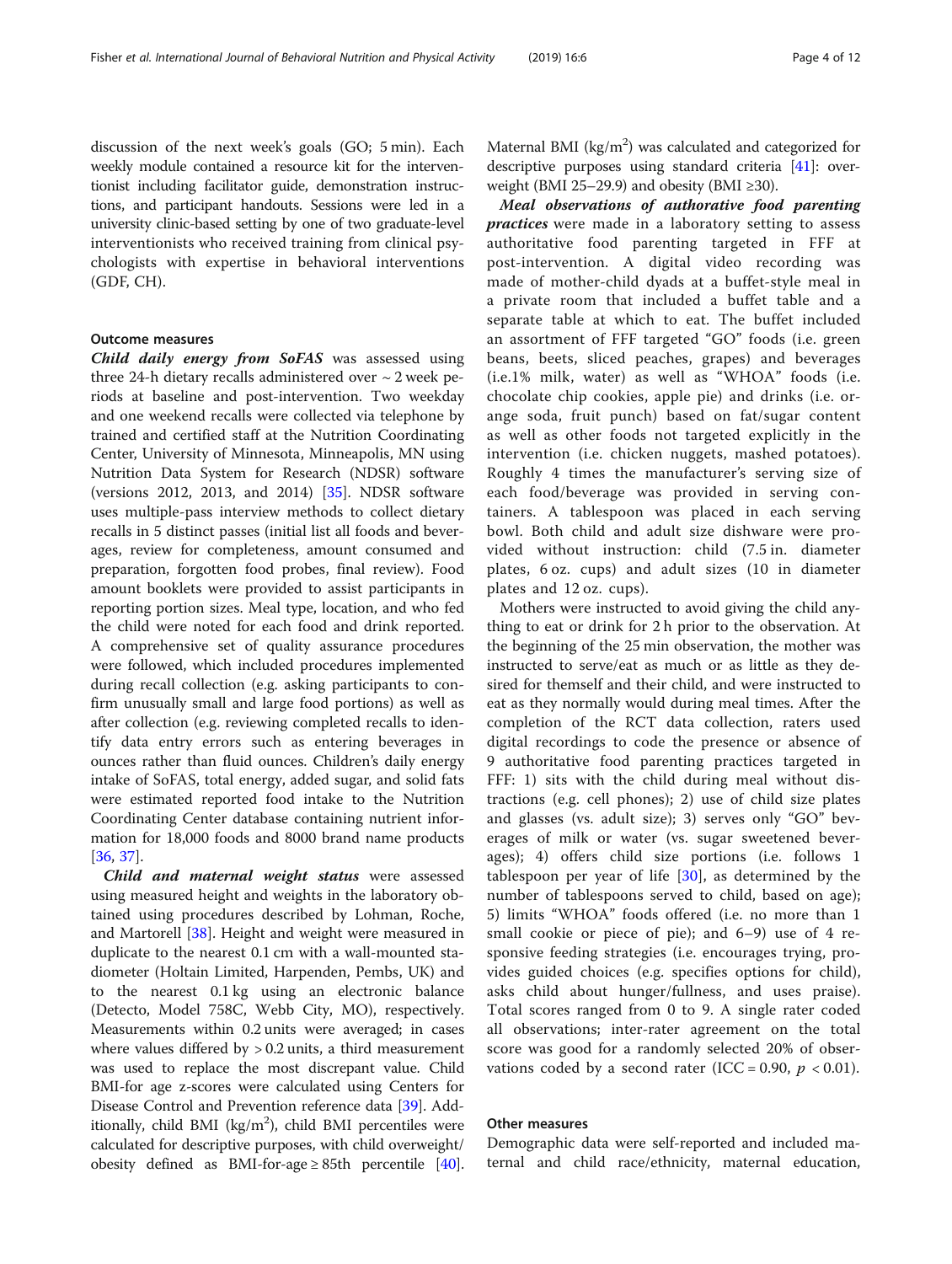discussion of the next week's goals (GO; 5 min). Each weekly module contained a resource kit for the interventionist including facilitator guide, demonstration instructions, and participant handouts. Sessions were led in a university clinic-based setting by one of two graduate-level interventionists who received training from clinical psychologists with expertise in behavioral interventions (GDF, CH).

## Outcome measures

Child daily energy from SoFAS was assessed using three 24-h dietary recalls administered over  $\sim$  2 week periods at baseline and post-intervention. Two weekday and one weekend recalls were collected via telephone by trained and certified staff at the Nutrition Coordinating Center, University of Minnesota, Minneapolis, MN using Nutrition Data System for Research (NDSR) software (versions 2012, 2013, and 2014) [[35](#page-10-0)]. NDSR software uses multiple-pass interview methods to collect dietary recalls in 5 distinct passes (initial list all foods and beverages, review for completeness, amount consumed and preparation, forgotten food probes, final review). Food amount booklets were provided to assist participants in reporting portion sizes. Meal type, location, and who fed the child were noted for each food and drink reported. A comprehensive set of quality assurance procedures were followed, which included procedures implemented during recall collection (e.g. asking participants to confirm unusually small and large food portions) as well as after collection (e.g. reviewing completed recalls to identify data entry errors such as entering beverages in ounces rather than fluid ounces. Children's daily energy intake of SoFAS, total energy, added sugar, and solid fats were estimated reported food intake to the Nutrition Coordinating Center database containing nutrient information for 18,000 foods and 8000 brand name products [[36,](#page-10-0) [37\]](#page-10-0).

Child and maternal weight status were assessed using measured height and weights in the laboratory obtained using procedures described by Lohman, Roche, and Martorell [[38\]](#page-10-0). Height and weight were measured in duplicate to the nearest 0.1 cm with a wall-mounted stadiometer (Holtain Limited, Harpenden, Pembs, UK) and to the nearest 0.1 kg using an electronic balance (Detecto, Model 758C, Webb City, MO), respectively. Measurements within 0.2 units were averaged; in cases where values differed by  $> 0.2$  units, a third measurement was used to replace the most discrepant value. Child BMI-for age z-scores were calculated using Centers for Disease Control and Prevention reference data [[39\]](#page-11-0). Additionally, child BMI ( $\text{kg/m}^2$ ), child BMI percentiles were calculated for descriptive purposes, with child overweight/ obesity defined as BMI-for-age  $\geq$  85th percentile [[40](#page-11-0)].

Maternal BMI ( $\text{kg/m}^2$ ) was calculated and categorized for descriptive purposes using standard criteria [[41](#page-11-0)]: overweight (BMI 25–29.9) and obesity (BMI  $\geq$ 30).

Meal observations of authorative food parenting practices were made in a laboratory setting to assess authoritative food parenting targeted in FFF at post-intervention. A digital video recording was made of mother-child dyads at a buffet-style meal in a private room that included a buffet table and a separate table at which to eat. The buffet included an assortment of FFF targeted "GO" foods (i.e. green beans, beets, sliced peaches, grapes) and beverages (i.e.1% milk, water) as well as "WHOA" foods (i.e. chocolate chip cookies, apple pie) and drinks (i.e. orange soda, fruit punch) based on fat/sugar content as well as other foods not targeted explicitly in the intervention (i.e. chicken nuggets, mashed potatoes). Roughly 4 times the manufacturer's serving size of each food/beverage was provided in serving containers. A tablespoon was placed in each serving bowl. Both child and adult size dishware were provided without instruction: child (7.5 in. diameter plates, 6 oz. cups) and adult sizes (10 in diameter plates and 12 oz. cups).

Mothers were instructed to avoid giving the child anything to eat or drink for 2 h prior to the observation. At the beginning of the 25 min observation, the mother was instructed to serve/eat as much or as little as they desired for themself and their child, and were instructed to eat as they normally would during meal times. After the completion of the RCT data collection, raters used digital recordings to code the presence or absence of 9 authoritative food parenting practices targeted in FFF: 1) sits with the child during meal without distractions (e.g. cell phones); 2) use of child size plates and glasses (vs. adult size); 3) serves only "GO" beverages of milk or water (vs. sugar sweetened beverages); 4) offers child size portions (i.e. follows 1 tablespoon per year of life  $[30]$  $[30]$ , as determined by the number of tablespoons served to child, based on age); 5) limits "WHOA" foods offered (i.e. no more than 1 small cookie or piece of pie); and 6–9) use of 4 responsive feeding strategies (i.e. encourages trying, provides guided choices (e.g. specifies options for child), asks child about hunger/fullness, and uses praise). Total scores ranged from 0 to 9. A single rater coded all observations; inter-rater agreement on the total score was good for a randomly selected 20% of observations coded by a second rater (ICC = 0.90,  $p < 0.01$ ).

## Other measures

Demographic data were self-reported and included maternal and child race/ethnicity, maternal education,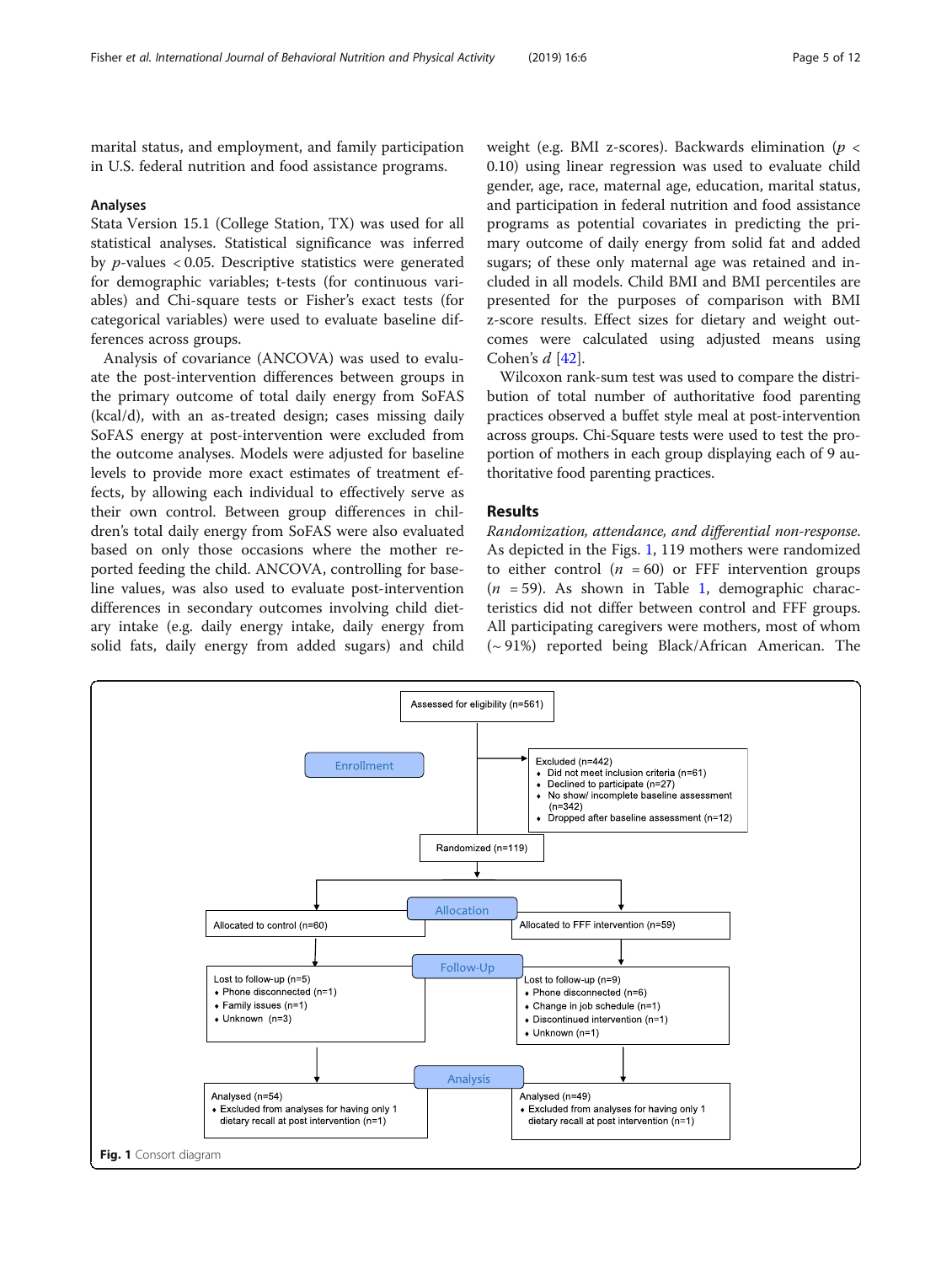<span id="page-4-0"></span>marital status, and employment, and family participation in U.S. federal nutrition and food assistance programs.

#### Analyses

Stata Version 15.1 (College Station, TX) was used for all statistical analyses. Statistical significance was inferred by  $p$ -values < 0.05. Descriptive statistics were generated for demographic variables; t-tests (for continuous variables) and Chi-square tests or Fisher's exact tests (for categorical variables) were used to evaluate baseline differences across groups.

Analysis of covariance (ANCOVA) was used to evaluate the post-intervention differences between groups in the primary outcome of total daily energy from SoFAS (kcal/d), with an as-treated design; cases missing daily SoFAS energy at post-intervention were excluded from the outcome analyses. Models were adjusted for baseline levels to provide more exact estimates of treatment effects, by allowing each individual to effectively serve as their own control. Between group differences in children's total daily energy from SoFAS were also evaluated based on only those occasions where the mother reported feeding the child. ANCOVA, controlling for baseline values, was also used to evaluate post-intervention differences in secondary outcomes involving child dietary intake (e.g. daily energy intake, daily energy from solid fats, daily energy from added sugars) and child

weight (e.g. BMI z-scores). Backwards elimination ( $p <$ 0.10) using linear regression was used to evaluate child gender, age, race, maternal age, education, marital status, and participation in federal nutrition and food assistance programs as potential covariates in predicting the primary outcome of daily energy from solid fat and added sugars; of these only maternal age was retained and included in all models. Child BMI and BMI percentiles are presented for the purposes of comparison with BMI z-score results. Effect sizes for dietary and weight outcomes were calculated using adjusted means using Cohen's d [\[42\]](#page-11-0).

Wilcoxon rank-sum test was used to compare the distribution of total number of authoritative food parenting practices observed a buffet style meal at post-intervention across groups. Chi-Square tests were used to test the proportion of mothers in each group displaying each of 9 authoritative food parenting practices.

#### **Results**

Randomization, attendance, and differential non-response. As depicted in the Figs. 1, 119 mothers were randomized to either control  $(n = 60)$  or FFF intervention groups  $(n = 59)$ . As shown in Table [1,](#page-5-0) demographic characteristics did not differ between control and FFF groups. All participating caregivers were mothers, most of whom (~ 91%) reported being Black/African American. The

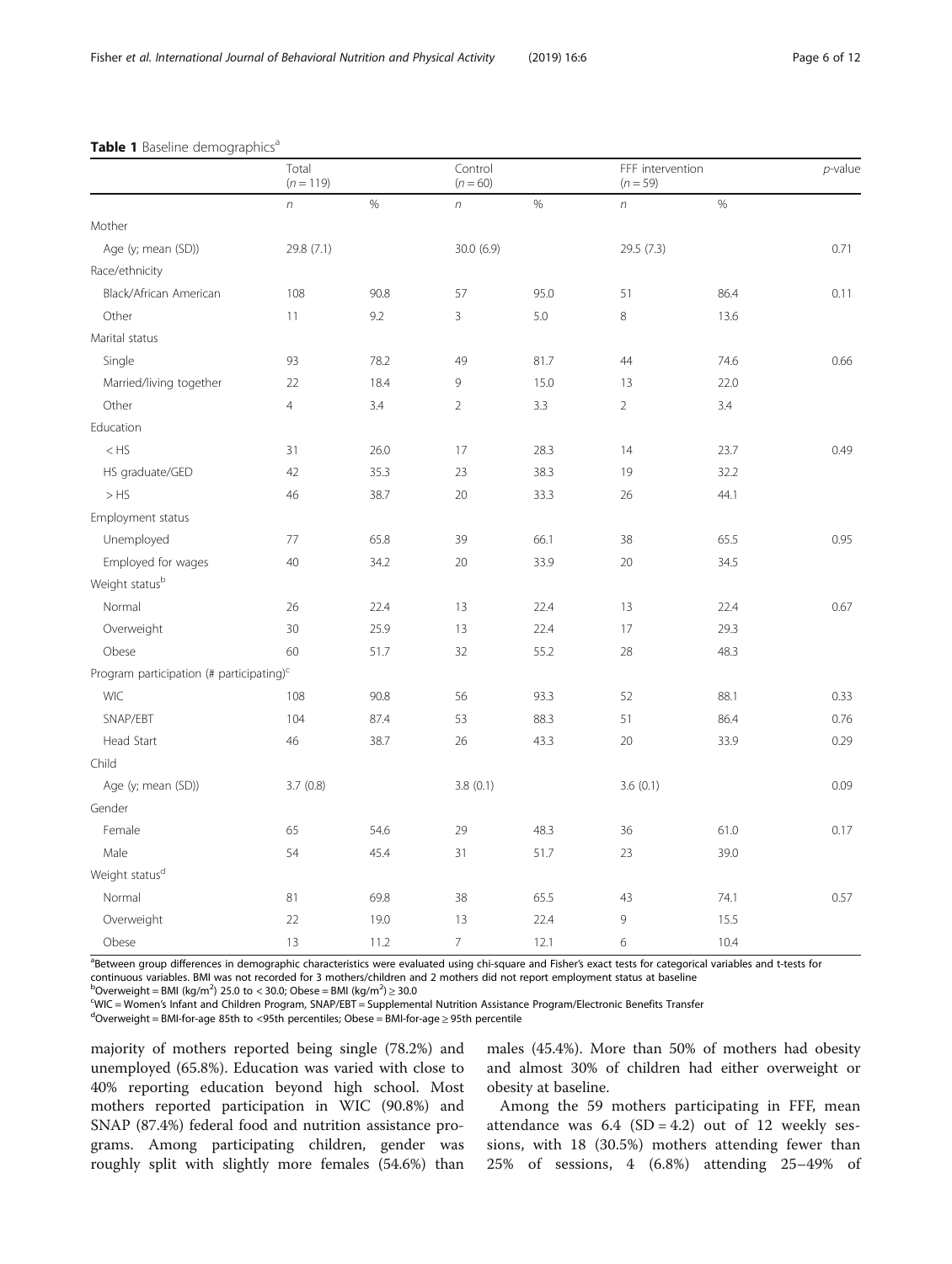## Total  $(n = 119)$ Control  $(n = 60)$ FFF intervention  $(n = 59)$ p-value n % n % n % Mother Age (y; mean (SD)) 29.8 (7.1) 29.8 (7.1) 30.0 (6.9) 29.5 (7.3) 29.5 (7.3) 29.5 (5.3) 29.5 (7.3) Race/ethnicity Black/African American 108 90.8 57 95.0 51 86.4 0.11 Other 11 9.2 3 5.0 8 13.6 Marital status Single 5-10 93 78.2 49 81.7 44 74.6 0.66 Married/living together 22 18.4 9 15.0 13 22.0 Other 2 3.4 2 3.3 2 3.4 Education < HS 31 26.0 17 28.3 14 23.7 0.49 HS graduate/GED 42 35.3 23 38.3 19 32.2 > HS 46 38.7 20 33.3 26 44.1 Employment status Unemployed 77 65.8 39 66.1 38 65.5 0.95 Employed for wages  $40$   $34.2$   $20$   $33.9$   $20$   $34.5$ Weight status<sup>b</sup> Normal 26 22.4 13 22.4 13 22.4 0.67 Overweight 30 25.9 13 22.4 17 29.3 Obese 60 51.7 32 55.2 28 48.3 Program participation (# participating) $<sup>c</sup>$ </sup> WIC 108 90.8 56 93.3 52 88.1 0.33 SNAP/EBT 104 87.4 53 88.3 51 86.4 0.76 Head Start 46 38.7 26 43.3 20 33.9 0.29 Child Age (y; mean (SD)) 3.7 (0.8) 3.8 (0.1) 3.6 (0.1) 3.6 (0.1) 3.6 (0.1) 3.6 (0.1) 0.09 Gender Female 65 54.6 29 48.3 36 61.0 0.17 Male 54 54 45.4 31 51.7 23 39.0 Weight status<sup>d</sup> Normal 81 69.8 38 65.5 43 74.1 0.57 Overweight 22 19.0 13 22.4 9 15.5 Obese 13 11.2 7 12.1 6 10.4

## <span id="page-5-0"></span>Table 1 Baseline demographics<sup>a</sup>

<sup>a</sup>Between group differences in demographic characteristics were evaluated using chi-square and Fisher's exact tests for categorical variables and t-tests for continuous variables. BMI was not recorded for 3 mothers/children and 2 mothers did not report employment status at baseline

b<br>Overweight = BMI (kg/m<sup>2</sup>) 25.0 to < 30.0; Obese = BMI (kg/m<sup>2</sup>) ≥ 30.0<br>SMIC = Women's Infant and Children Brogram, SNAR/EPT = Supplement

WIC = Women's Infant and Children Program, SNAP/EBT = Supplemental Nutrition Assistance Program/Electronic Benefits Transfer <sup>d</sup>

Overweight = BMI-for-age 85th to <95th percentiles; Obese = BMI-for-age ≥ 95th percentile

majority of mothers reported being single (78.2%) and unemployed (65.8%). Education was varied with close to 40% reporting education beyond high school. Most mothers reported participation in WIC (90.8%) and SNAP (87.4%) federal food and nutrition assistance programs. Among participating children, gender was roughly split with slightly more females (54.6%) than

males (45.4%). More than 50% of mothers had obesity and almost 30% of children had either overweight or obesity at baseline.

Among the 59 mothers participating in FFF, mean attendance was  $6.4$  (SD = 4.2) out of 12 weekly sessions, with 18 (30.5%) mothers attending fewer than 25% of sessions, 4 (6.8%) attending 25–49% of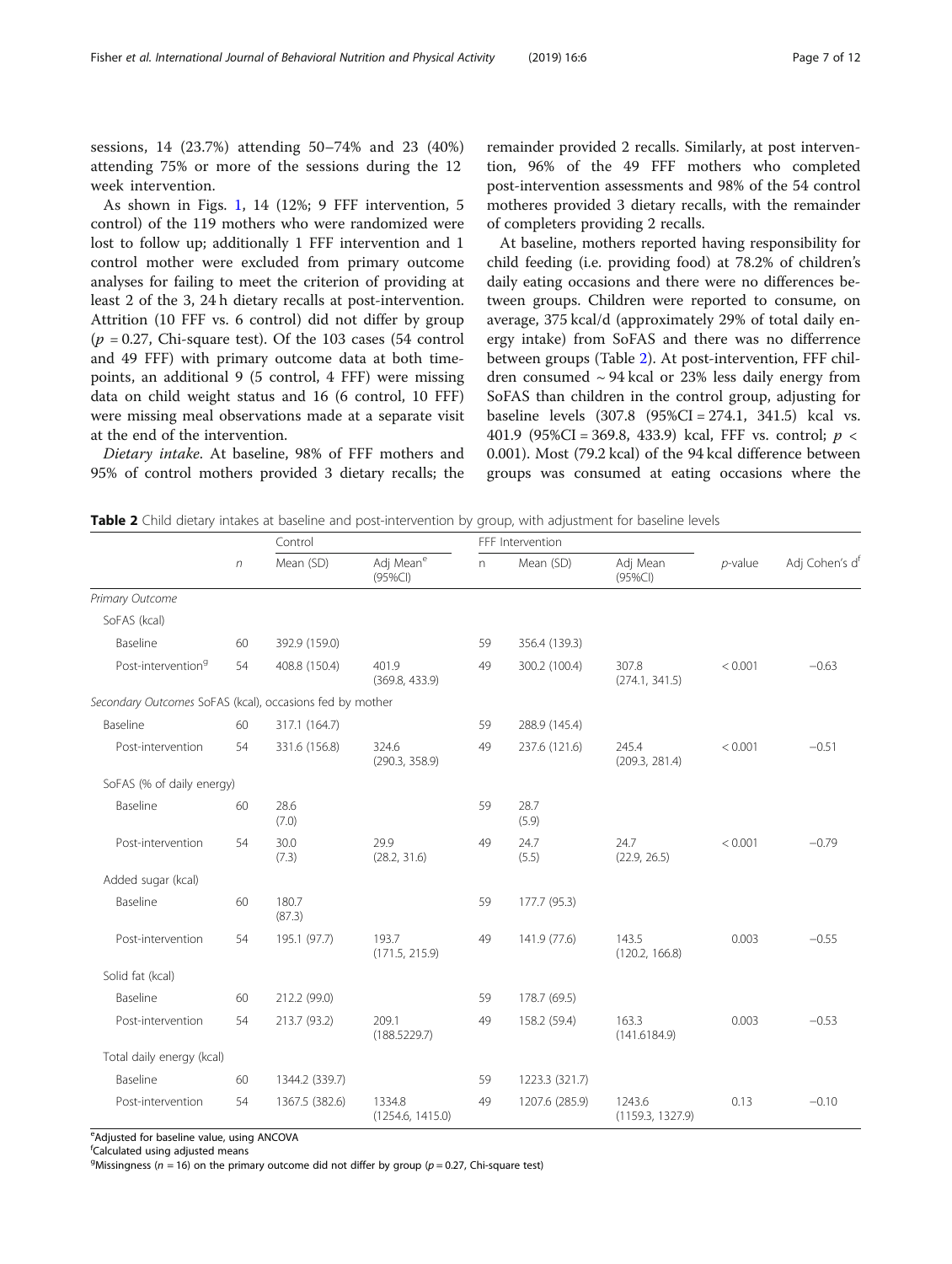sessions, 14 (23.7%) attending 50–74% and 23 (40%) attending 75% or more of the sessions during the 12 week intervention.

As shown in Figs. [1,](#page-4-0) 14 (12%; 9 FFF intervention, 5 control) of the 119 mothers who were randomized were lost to follow up; additionally 1 FFF intervention and 1 control mother were excluded from primary outcome analyses for failing to meet the criterion of providing at least 2 of the 3, 24 h dietary recalls at post-intervention. Attrition (10 FFF vs. 6 control) did not differ by group  $(p = 0.27, Chi$ -square test). Of the 103 cases (54 control and 49 FFF) with primary outcome data at both timepoints, an additional 9 (5 control, 4 FFF) were missing data on child weight status and 16 (6 control, 10 FFF) were missing meal observations made at a separate visit at the end of the intervention.

Dietary intake. At baseline, 98% of FFF mothers and 95% of control mothers provided 3 dietary recalls; the remainder provided 2 recalls. Similarly, at post intervention, 96% of the 49 FFF mothers who completed post-intervention assessments and 98% of the 54 control motheres provided 3 dietary recalls, with the remainder of completers providing 2 recalls.

At baseline, mothers reported having responsibility for child feeding (i.e. providing food) at 78.2% of children's daily eating occasions and there were no differences between groups. Children were reported to consume, on average, 375 kcal/d (approximately 29% of total daily energy intake) from SoFAS and there was no differrence between groups (Table 2). At post-intervention, FFF children consumed  $\sim$  94 kcal or 23% less daily energy from SoFAS than children in the control group, adjusting for baseline levels (307.8 (95%CI = 274.1, 341.5) kcal vs. 401.9 (95%CI = 369.8, 433.9) kcal, FFF vs. control;  $p <$ 0.001). Most (79.2 kcal) of the 94 kcal difference between groups was consumed at eating occasions where the

Table 2 Child dietary intakes at baseline and post-intervention by group, with adjustment for baseline levels

|                                                          | $\sqrt{n}$ | Control         |                                     | FFF Intervention |                |                            |            |                            |
|----------------------------------------------------------|------------|-----------------|-------------------------------------|------------------|----------------|----------------------------|------------|----------------------------|
|                                                          |            | Mean (SD)       | Adj Mean <sup>e</sup><br>$(95\%CI)$ | $\mathsf{n}$     | Mean (SD)      | Adj Mean<br>$(95\%CI)$     | $p$ -value | Adj Cohen's d <sup>t</sup> |
| Primary Outcome                                          |            |                 |                                     |                  |                |                            |            |                            |
| SoFAS (kcal)                                             |            |                 |                                     |                  |                |                            |            |                            |
| Baseline                                                 | 60         | 392.9 (159.0)   |                                     | 59               | 356.4 (139.3)  |                            |            |                            |
| Post-intervention <sup>9</sup>                           | 54         | 408.8 (150.4)   | 401.9<br>(369.8, 433.9)             | 49               | 300.2 (100.4)  | 307.8<br>(274.1, 341.5)    | < 0.001    | $-0.63$                    |
| Secondary Outcomes SoFAS (kcal), occasions fed by mother |            |                 |                                     |                  |                |                            |            |                            |
| Baseline                                                 | 60         | 317.1 (164.7)   |                                     | 59               | 288.9 (145.4)  |                            |            |                            |
| Post-intervention                                        | 54         | 331.6 (156.8)   | 324.6<br>(290.3, 358.9)             | 49               | 237.6 (121.6)  | 245.4<br>(209.3, 281.4)    | < 0.001    | $-0.51$                    |
| SoFAS (% of daily energy)                                |            |                 |                                     |                  |                |                            |            |                            |
| Baseline                                                 | 60         | 28.6<br>(7.0)   |                                     | 59               | 28.7<br>(5.9)  |                            |            |                            |
| Post-intervention                                        | 54         | 30.0<br>(7.3)   | 29.9<br>(28.2, 31.6)                | 49               | 24.7<br>(5.5)  | 24.7<br>(22.9, 26.5)       | < 0.001    | $-0.79$                    |
| Added sugar (kcal)                                       |            |                 |                                     |                  |                |                            |            |                            |
| Baseline                                                 | 60         | 180.7<br>(87.3) |                                     | 59               | 177.7 (95.3)   |                            |            |                            |
| Post-intervention                                        | 54         | 195.1 (97.7)    | 193.7<br>(171.5, 215.9)             | 49               | 141.9 (77.6)   | 143.5<br>(120.2, 166.8)    | 0.003      | $-0.55$                    |
| Solid fat (kcal)                                         |            |                 |                                     |                  |                |                            |            |                            |
| Baseline                                                 | 60         | 212.2 (99.0)    |                                     | 59               | 178.7 (69.5)   |                            |            |                            |
| Post-intervention                                        | 54         | 213.7 (93.2)    | 209.1<br>(188.5229.7)               | 49               | 158.2 (59.4)   | 163.3<br>(141.6184.9)      | 0.003      | $-0.53$                    |
| Total daily energy (kcal)                                |            |                 |                                     |                  |                |                            |            |                            |
| Baseline                                                 | 60         | 1344.2 (339.7)  |                                     | 59               | 1223.3 (321.7) |                            |            |                            |
| Post-intervention                                        | 54         | 1367.5 (382.6)  | 1334.8<br>(1254.6, 1415.0)          | 49               | 1207.6 (285.9) | 1243.6<br>(1159.3, 1327.9) | 0.13       | $-0.10$                    |

<sup>e</sup>Adjusted for baseline value, using ANCOVA

f Calculated using adjusted means

<sup>9</sup>Missingness (n = 16) on the primary outcome did not differ by group (p = 0.27, Chi-square test)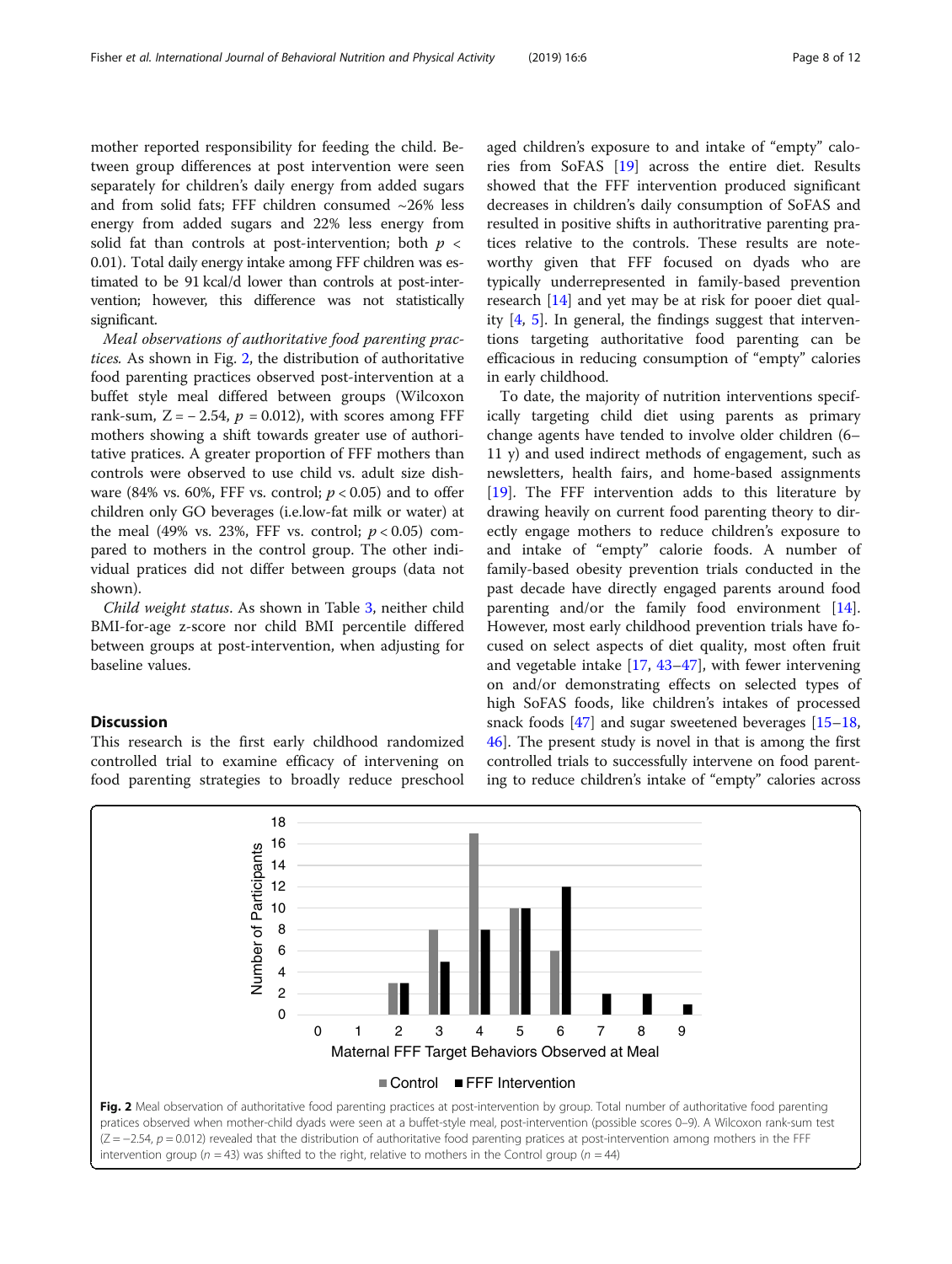mother reported responsibility for feeding the child. Between group differences at post intervention were seen separately for children's daily energy from added sugars and from solid fats; FFF children consumed ~26% less energy from added sugars and 22% less energy from solid fat than controls at post-intervention; both  $p <$ 0.01). Total daily energy intake among FFF children was estimated to be 91 kcal/d lower than controls at post-intervention; however, this difference was not statistically significant.

Meal observations of authoritative food parenting practices. As shown in Fig. 2, the distribution of authoritative food parenting practices observed post-intervention at a buffet style meal differed between groups (Wilcoxon rank-sum,  $Z = -2.54$ ,  $p = 0.012$ ), with scores among FFF mothers showing a shift towards greater use of authoritative pratices. A greater proportion of FFF mothers than controls were observed to use child vs. adult size dishware (84% vs. 60%, FFF vs. control;  $p < 0.05$ ) and to offer children only GO beverages (i.e.low-fat milk or water) at the meal (49% vs. 23%, FFF vs. control;  $p < 0.05$ ) compared to mothers in the control group. The other individual pratices did not differ between groups (data not shown).

Child weight status. As shown in Table [3](#page-8-0), neither child BMI-for-age z-score nor child BMI percentile differed between groups at post-intervention, when adjusting for baseline values.

## Discussion

This research is the first early childhood randomized controlled trial to examine efficacy of intervening on food parenting strategies to broadly reduce preschool aged children's exposure to and intake of "empty" calories from SoFAS [\[19\]](#page-10-0) across the entire diet. Results showed that the FFF intervention produced significant decreases in children's daily consumption of SoFAS and resulted in positive shifts in authoritrative parenting pratices relative to the controls. These results are noteworthy given that FFF focused on dyads who are typically underrepresented in family-based prevention research [\[14](#page-10-0)] and yet may be at risk for pooer diet quality [[4,](#page-10-0) [5\]](#page-10-0). In general, the findings suggest that interventions targeting authoritative food parenting can be efficacious in reducing consumption of "empty" calories in early childhood.

To date, the majority of nutrition interventions specifically targeting child diet using parents as primary change agents have tended to involve older children (6– 11 y) and used indirect methods of engagement, such as newsletters, health fairs, and home-based assignments [[19\]](#page-10-0). The FFF intervention adds to this literature by drawing heavily on current food parenting theory to directly engage mothers to reduce children's exposure to and intake of "empty" calorie foods. A number of family-based obesity prevention trials conducted in the past decade have directly engaged parents around food parenting and/or the family food environment [\[14](#page-10-0)]. However, most early childhood prevention trials have focused on select aspects of diet quality, most often fruit and vegetable intake [[17](#page-10-0), [43](#page-11-0)–[47](#page-11-0)], with fewer intervening on and/or demonstrating effects on selected types of high SoFAS foods, like children's intakes of processed snack foods  $[47]$  $[47]$  $[47]$  and sugar sweetened beverages  $[15-18,$  $[15-18,$  $[15-18,$  $[15-18,$  $[15-18,$ [46\]](#page-11-0). The present study is novel in that is among the first controlled trials to successfully intervene on food parenting to reduce children's intake of "empty" calories across

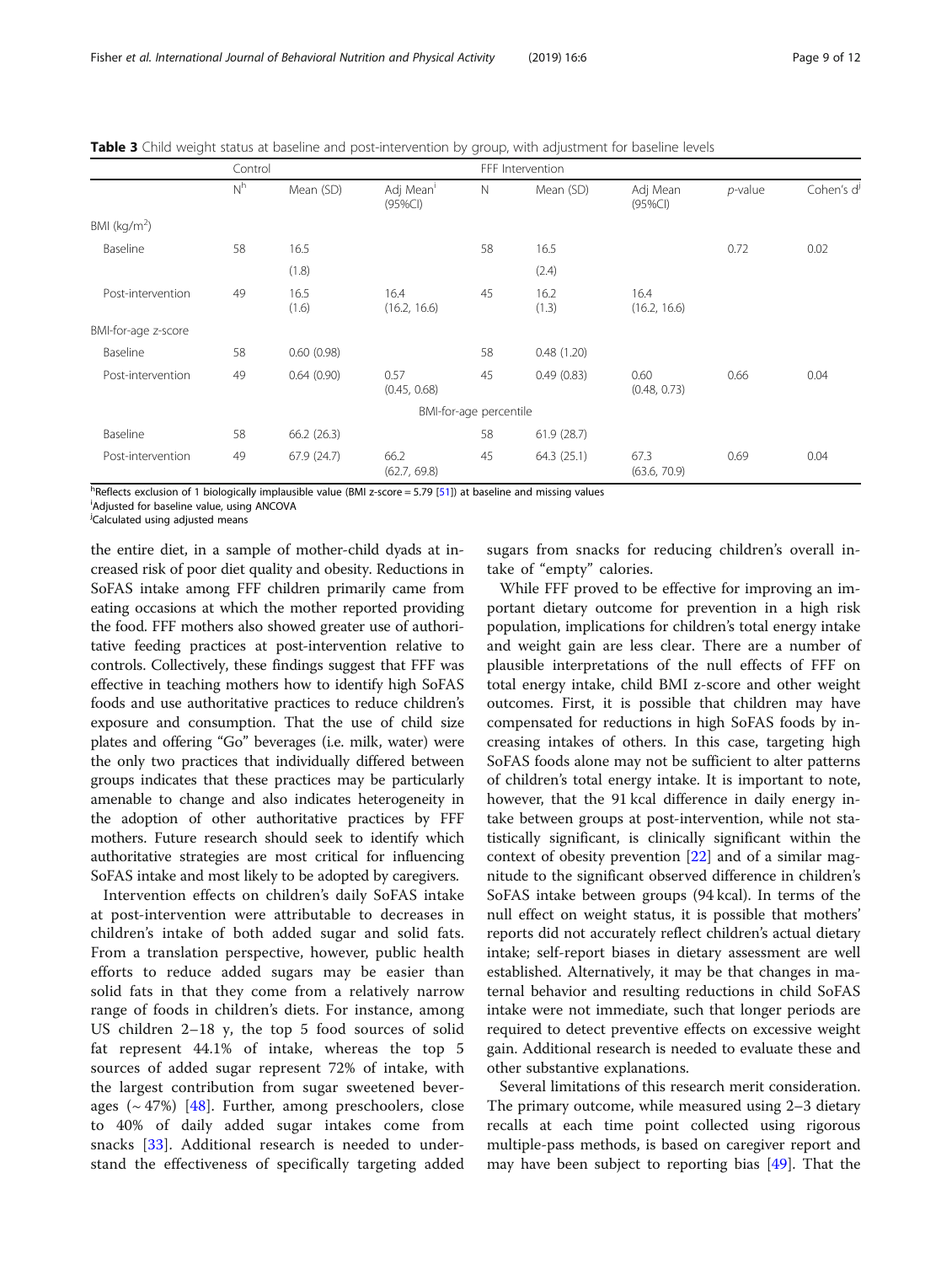|                     | Control |               |                        | FFF Intervention       |               |                        |            |           |
|---------------------|---------|---------------|------------------------|------------------------|---------------|------------------------|------------|-----------|
|                     | $N^h$   | Mean (SD)     | Adj Mean<br>$(95\%CI)$ | $\mathbb N$            | Mean (SD)     | Adj Mean<br>$(95\%CI)$ | $p$ -value | Cohen's d |
| BMI ( $kg/m2$ )     |         |               |                        |                        |               |                        |            |           |
| Baseline            | 58      | 16.5          |                        | 58                     | 16.5          |                        | 0.72       | 0.02      |
|                     |         | (1.8)         |                        |                        | (2.4)         |                        |            |           |
| Post-intervention   | 49      | 16.5<br>(1.6) | 16.4<br>(16.2, 16.6)   | 45                     | 16.2<br>(1.3) | 16.4<br>(16.2, 16.6)   |            |           |
| BMI-for-age z-score |         |               |                        |                        |               |                        |            |           |
| Baseline            | 58      | 0.60(0.98)    |                        | 58                     | 0.48(1.20)    |                        |            |           |
| Post-intervention   | 49      | 0.64(0.90)    | 0.57<br>(0.45, 0.68)   | 45                     | 0.49(0.83)    | 0.60<br>(0.48, 0.73)   | 0.66       | 0.04      |
|                     |         |               |                        | BMI-for-age percentile |               |                        |            |           |
| Baseline            | 58      | 66.2(26.3)    |                        | 58                     | 61.9(28.7)    |                        |            |           |
| Post-intervention   | 49      | 67.9 (24.7)   | 66.2<br>(62.7, 69.8)   | 45                     | 64.3(25.1)    | 67.3<br>(63.6, 70.9)   | 0.69       | 0.04      |

<span id="page-8-0"></span>Table 3 Child weight status at baseline and post-intervention by group, with adjustment for baseline levels

<sup>h</sup>Reflects exclusion of 1 biologically implausible value (BMI z-score = 5.79 [[51](#page-11-0)]) at baseline and missing values<br><sup>i</sup>Adjusted for baseline value, using ANCOVA

<sup>i</sup>Adiusted for baseline value, using ANCOVA

j Calculated using adjusted means

the entire diet, in a sample of mother-child dyads at increased risk of poor diet quality and obesity. Reductions in SoFAS intake among FFF children primarily came from eating occasions at which the mother reported providing the food. FFF mothers also showed greater use of authoritative feeding practices at post-intervention relative to controls. Collectively, these findings suggest that FFF was effective in teaching mothers how to identify high SoFAS foods and use authoritative practices to reduce children's exposure and consumption. That the use of child size plates and offering "Go" beverages (i.e. milk, water) were the only two practices that individually differed between groups indicates that these practices may be particularly amenable to change and also indicates heterogeneity in the adoption of other authoritative practices by FFF mothers. Future research should seek to identify which authoritative strategies are most critical for influencing SoFAS intake and most likely to be adopted by caregivers.

Intervention effects on children's daily SoFAS intake at post-intervention were attributable to decreases in children's intake of both added sugar and solid fats. From a translation perspective, however, public health efforts to reduce added sugars may be easier than solid fats in that they come from a relatively narrow range of foods in children's diets. For instance, among US children 2–18 y, the top 5 food sources of solid fat represent 44.1% of intake, whereas the top 5 sources of added sugar represent 72% of intake, with the largest contribution from sugar sweetened beverages  $({\sim}47%)$  [[48\]](#page-11-0). Further, among preschoolers, close to 40% of daily added sugar intakes come from snacks [[33\]](#page-10-0). Additional research is needed to understand the effectiveness of specifically targeting added sugars from snacks for reducing children's overall intake of "empty" calories.

While FFF proved to be effective for improving an important dietary outcome for prevention in a high risk population, implications for children's total energy intake and weight gain are less clear. There are a number of plausible interpretations of the null effects of FFF on total energy intake, child BMI z-score and other weight outcomes. First, it is possible that children may have compensated for reductions in high SoFAS foods by increasing intakes of others. In this case, targeting high SoFAS foods alone may not be sufficient to alter patterns of children's total energy intake. It is important to note, however, that the 91 kcal difference in daily energy intake between groups at post-intervention, while not statistically significant, is clinically significant within the context of obesity prevention [\[22](#page-10-0)] and of a similar magnitude to the significant observed difference in children's SoFAS intake between groups (94 kcal). In terms of the null effect on weight status, it is possible that mothers' reports did not accurately reflect children's actual dietary intake; self-report biases in dietary assessment are well established. Alternatively, it may be that changes in maternal behavior and resulting reductions in child SoFAS intake were not immediate, such that longer periods are required to detect preventive effects on excessive weight gain. Additional research is needed to evaluate these and other substantive explanations.

Several limitations of this research merit consideration. The primary outcome, while measured using 2–3 dietary recalls at each time point collected using rigorous multiple-pass methods, is based on caregiver report and may have been subject to reporting bias  $[49]$  $[49]$ . That the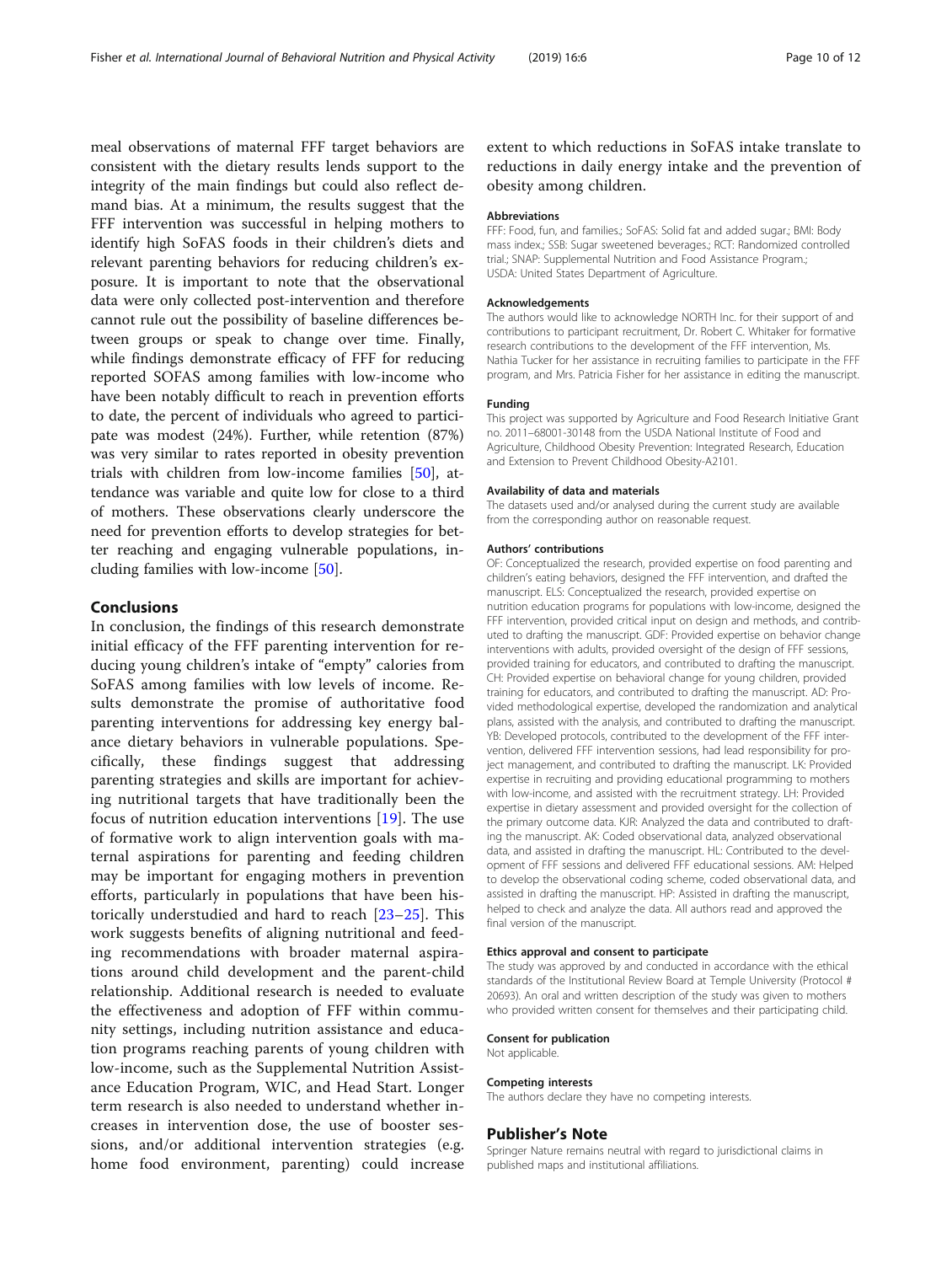meal observations of maternal FFF target behaviors are consistent with the dietary results lends support to the integrity of the main findings but could also reflect demand bias. At a minimum, the results suggest that the FFF intervention was successful in helping mothers to identify high SoFAS foods in their children's diets and relevant parenting behaviors for reducing children's exposure. It is important to note that the observational data were only collected post-intervention and therefore cannot rule out the possibility of baseline differences between groups or speak to change over time. Finally, while findings demonstrate efficacy of FFF for reducing reported SOFAS among families with low-income who have been notably difficult to reach in prevention efforts to date, the percent of individuals who agreed to participate was modest (24%). Further, while retention (87%) was very similar to rates reported in obesity prevention trials with children from low-income families [[50](#page-11-0)], attendance was variable and quite low for close to a third of mothers. These observations clearly underscore the need for prevention efforts to develop strategies for better reaching and engaging vulnerable populations, including families with low-income [\[50](#page-11-0)].

## Conclusions

In conclusion, the findings of this research demonstrate initial efficacy of the FFF parenting intervention for reducing young children's intake of "empty" calories from SoFAS among families with low levels of income. Results demonstrate the promise of authoritative food parenting interventions for addressing key energy balance dietary behaviors in vulnerable populations. Specifically, these findings suggest that addressing parenting strategies and skills are important for achieving nutritional targets that have traditionally been the focus of nutrition education interventions [[19\]](#page-10-0). The use of formative work to align intervention goals with maternal aspirations for parenting and feeding children may be important for engaging mothers in prevention efforts, particularly in populations that have been historically understudied and hard to reach [[23](#page-10-0)–[25\]](#page-10-0). This work suggests benefits of aligning nutritional and feeding recommendations with broader maternal aspirations around child development and the parent-child relationship. Additional research is needed to evaluate the effectiveness and adoption of FFF within community settings, including nutrition assistance and education programs reaching parents of young children with low-income, such as the Supplemental Nutrition Assistance Education Program, WIC, and Head Start. Longer term research is also needed to understand whether increases in intervention dose, the use of booster sessions, and/or additional intervention strategies (e.g. home food environment, parenting) could increase

extent to which reductions in SoFAS intake translate to reductions in daily energy intake and the prevention of obesity among children.

#### Abbreviations

FFF: Food, fun, and families.; SoFAS: Solid fat and added sugar.; BMI: Body mass index.; SSB: Sugar sweetened beverages.; RCT: Randomized controlled trial.; SNAP: Supplemental Nutrition and Food Assistance Program.; USDA: United States Department of Agriculture.

#### Acknowledgements

The authors would like to acknowledge NORTH Inc. for their support of and contributions to participant recruitment, Dr. Robert C. Whitaker for formative research contributions to the development of the FFF intervention, Ms. Nathia Tucker for her assistance in recruiting families to participate in the FFF program, and Mrs. Patricia Fisher for her assistance in editing the manuscript.

#### Funding

This project was supported by Agriculture and Food Research Initiative Grant no. 2011–68001-30148 from the USDA National Institute of Food and Agriculture, Childhood Obesity Prevention: Integrated Research, Education and Extension to Prevent Childhood Obesity-A2101.

#### Availability of data and materials

The datasets used and/or analysed during the current study are available from the corresponding author on reasonable request.

#### Authors' contributions

OF: Conceptualized the research, provided expertise on food parenting and children's eating behaviors, designed the FFF intervention, and drafted the manuscript. ELS: Conceptualized the research, provided expertise on nutrition education programs for populations with low-income, designed the FFF intervention, provided critical input on design and methods, and contributed to drafting the manuscript. GDF: Provided expertise on behavior change interventions with adults, provided oversight of the design of FFF sessions, provided training for educators, and contributed to drafting the manuscript. CH: Provided expertise on behavioral change for young children, provided training for educators, and contributed to drafting the manuscript. AD: Provided methodological expertise, developed the randomization and analytical plans, assisted with the analysis, and contributed to drafting the manuscript. YB: Developed protocols, contributed to the development of the FFF intervention, delivered FFF intervention sessions, had lead responsibility for project management, and contributed to drafting the manuscript. LK: Provided expertise in recruiting and providing educational programming to mothers with low-income, and assisted with the recruitment strategy. LH: Provided expertise in dietary assessment and provided oversight for the collection of the primary outcome data. KJR: Analyzed the data and contributed to drafting the manuscript. AK: Coded observational data, analyzed observational data, and assisted in drafting the manuscript. HL: Contributed to the development of FFF sessions and delivered FFF educational sessions. AM: Helped to develop the observational coding scheme, coded observational data, and assisted in drafting the manuscript. HP: Assisted in drafting the manuscript, helped to check and analyze the data. All authors read and approved the final version of the manuscript.

#### Ethics approval and consent to participate

The study was approved by and conducted in accordance with the ethical standards of the Institutional Review Board at Temple University (Protocol # 20693). An oral and written description of the study was given to mothers who provided written consent for themselves and their participating child.

#### Consent for publication

Not applicable.

#### Competing interests

The authors declare they have no competing interests.

#### Publisher's Note

Springer Nature remains neutral with regard to jurisdictional claims in published maps and institutional affiliations.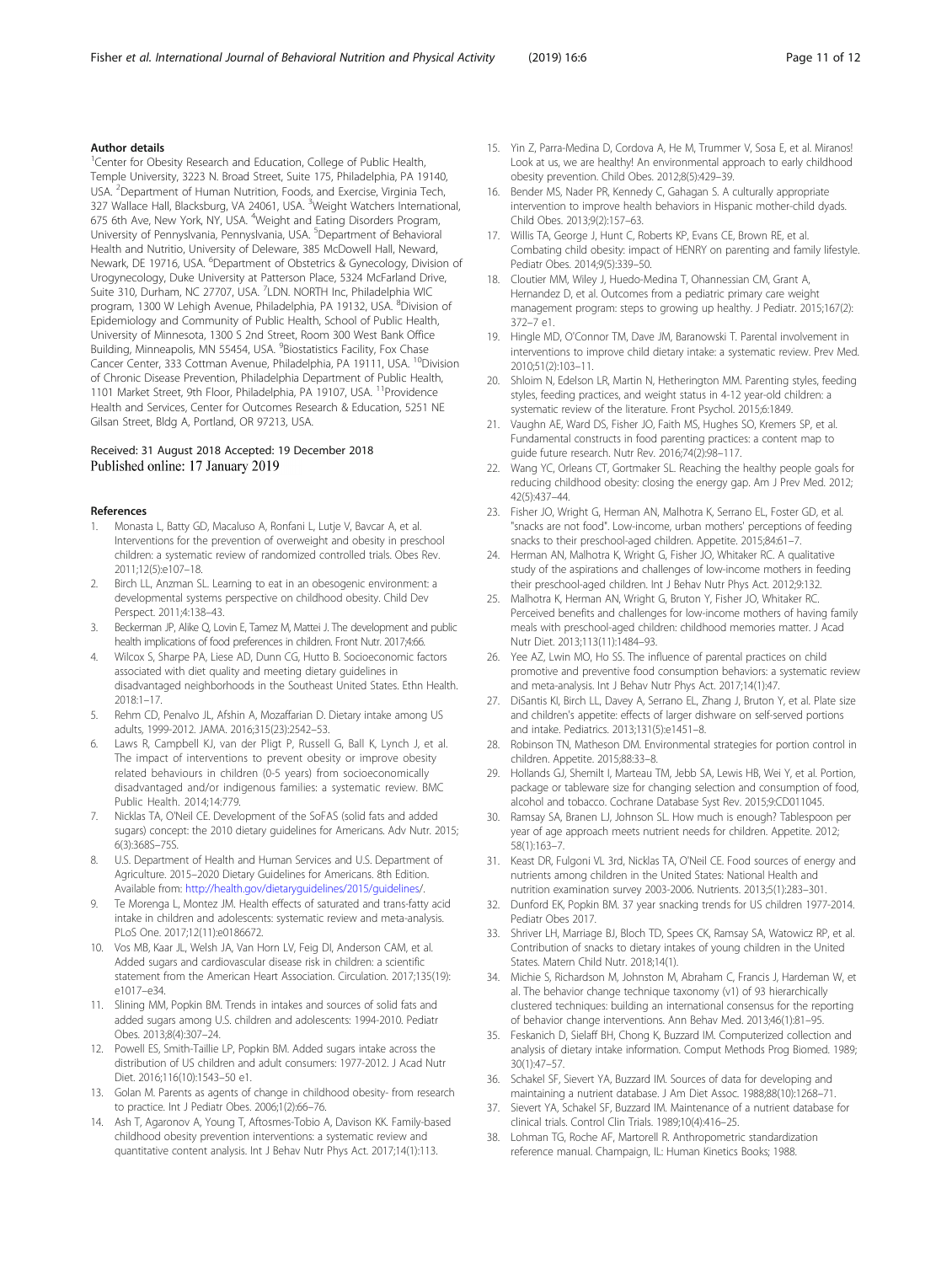#### <span id="page-10-0"></span>Author details

<sup>1</sup> Center for Obesity Research and Education, College of Public Health, Temple University, 3223 N. Broad Street, Suite 175, Philadelphia, PA 19140, USA. <sup>2</sup>Department of Human Nutrition, Foods, and Exercise, Virginia Tech, 327 Wallace Hall, Blacksburg, VA 24061, USA. <sup>3</sup>Weight Watchers International, 675 6th Ave, New York, NY, USA. <sup>4</sup>Weight and Eating Disorders Program, University of Pennyslvania, Pennyslvania, USA. <sup>5</sup>Department of Behavioral Health and Nutritio, University of Deleware, 385 McDowell Hall, Neward, Newark, DE 19716, USA. <sup>6</sup>Department of Obstetrics & Gynecology, Division of Urogynecology, Duke University at Patterson Place, 5324 McFarland Drive, Suite 310, Durham, NC 27707, USA. <sup>7</sup>LDN. NORTH Inc, Philadelphia WIC program, 1300 W Lehigh Avenue, Philadelphia, PA 19132, USA. <sup>8</sup>Division of Epidemiology and Community of Public Health, School of Public Health, University of Minnesota, 1300 S 2nd Street, Room 300 West Bank Office Building, Minneapolis, MN 55454, USA. <sup>9</sup>Biostatistics Facility, Fox Chase Cancer Center, 333 Cottman Avenue, Philadelphia, PA 19111, USA. <sup>10</sup>Division of Chronic Disease Prevention, Philadelphia Department of Public Health, 1101 Market Street, 9th Floor, Philadelphia, PA 19107, USA. 11Providence Health and Services, Center for Outcomes Research & Education, 5251 NE Gilsan Street, Bldg A, Portland, OR 97213, USA.

#### Received: 31 August 2018 Accepted: 19 December 2018 Published online: 17 January 2019

#### References

- 1. Monasta L, Batty GD, Macaluso A, Ronfani L, Lutje V, Bavcar A, et al. Interventions for the prevention of overweight and obesity in preschool children: a systematic review of randomized controlled trials. Obes Rev. 2011;12(5):e107–18.
- 2. Birch LL, Anzman SL. Learning to eat in an obesogenic environment: a developmental systems perspective on childhood obesity. Child Dev Perspect. 2011;4:138–43.
- Beckerman JP, Alike Q, Lovin E, Tamez M, Mattei J. The development and public health implications of food preferences in children. Front Nutr. 2017;4:66.
- 4. Wilcox S, Sharpe PA, Liese AD, Dunn CG, Hutto B. Socioeconomic factors associated with diet quality and meeting dietary guidelines in disadvantaged neighborhoods in the Southeast United States. Ethn Health. 2018:1–17.
- 5. Rehm CD, Penalvo JL, Afshin A, Mozaffarian D. Dietary intake among US adults, 1999-2012. JAMA. 2016;315(23):2542–53.
- 6. Laws R, Campbell KJ, van der Pligt P, Russell G, Ball K, Lynch J, et al. The impact of interventions to prevent obesity or improve obesity related behaviours in children (0-5 years) from socioeconomically disadvantaged and/or indigenous families: a systematic review. BMC Public Health. 2014;14:779.
- 7. Nicklas TA, O'Neil CE. Development of the SoFAS (solid fats and added sugars) concept: the 2010 dietary guidelines for Americans. Adv Nutr. 2015; 6(3):368S–75S.
- 8. U.S. Department of Health and Human Services and U.S. Department of Agriculture. 2015–2020 Dietary Guidelines for Americans. 8th Edition. Available from: <http://health.gov/dietaryguidelines/2015/guidelines>/.
- Te Morenga L, Montez JM. Health effects of saturated and trans-fatty acid intake in children and adolescents: systematic review and meta-analysis. PLoS One. 2017;12(11):e0186672.
- 10. Vos MB, Kaar JL, Welsh JA, Van Horn LV, Feig DI, Anderson CAM, et al. Added sugars and cardiovascular disease risk in children: a scientific statement from the American Heart Association. Circulation. 2017;135(19):  $e1017 - e34$
- 11. Slining MM, Popkin BM. Trends in intakes and sources of solid fats and added sugars among U.S. children and adolescents: 1994-2010. Pediatr Obes. 2013;8(4):307–24.
- 12. Powell ES, Smith-Taillie LP, Popkin BM. Added sugars intake across the distribution of US children and adult consumers: 1977-2012. J Acad Nutr Diet. 2016;116(10):1543–50 e1.
- 13. Golan M. Parents as agents of change in childhood obesity- from research to practice. Int J Pediatr Obes. 2006;1(2):66–76.
- 14. Ash T, Agaronov A, Young T, Aftosmes-Tobio A, Davison KK. Family-based childhood obesity prevention interventions: a systematic review and quantitative content analysis. Int J Behav Nutr Phys Act. 2017;14(1):113.
- 15. Yin Z, Parra-Medina D, Cordova A, He M, Trummer V, Sosa E, et al. Miranos! Look at us, we are healthy! An environmental approach to early childhood obesity prevention. Child Obes. 2012;8(5):429–39.
- 16. Bender MS, Nader PR, Kennedy C, Gahagan S. A culturally appropriate intervention to improve health behaviors in Hispanic mother-child dyads. Child Obes. 2013;9(2):157–63.
- 17. Willis TA, George J, Hunt C, Roberts KP, Evans CE, Brown RE, et al. Combating child obesity: impact of HENRY on parenting and family lifestyle. Pediatr Obes. 2014;9(5):339–50.
- 18. Cloutier MM, Wiley J, Huedo-Medina T, Ohannessian CM, Grant A, Hernandez D, et al. Outcomes from a pediatric primary care weight management program: steps to growing up healthy. J Pediatr. 2015:167(2): 372–7 e1.
- 19. Hingle MD, O'Connor TM, Dave JM, Baranowski T. Parental involvement in interventions to improve child dietary intake: a systematic review. Prev Med. 2010;51(2):103–11.
- 20. Shloim N, Edelson LR, Martin N, Hetherington MM. Parenting styles, feeding styles, feeding practices, and weight status in 4-12 year-old children: a systematic review of the literature. Front Psychol. 2015;6:1849.
- 21. Vaughn AE, Ward DS, Fisher JO, Faith MS, Hughes SO, Kremers SP, et al. Fundamental constructs in food parenting practices: a content map to guide future research. Nutr Rev. 2016;74(2):98–117.
- 22. Wang YC, Orleans CT, Gortmaker SL. Reaching the healthy people goals for reducing childhood obesity: closing the energy gap. Am J Prev Med. 2012; 42(5):437–44.
- 23. Fisher JO, Wright G, Herman AN, Malhotra K, Serrano EL, Foster GD, et al. "snacks are not food". Low-income, urban mothers' perceptions of feeding snacks to their preschool-aged children. Appetite. 2015;84:61–7.
- 24. Herman AN, Malhotra K, Wright G, Fisher JO, Whitaker RC. A qualitative study of the aspirations and challenges of low-income mothers in feeding their preschool-aged children. Int J Behav Nutr Phys Act. 2012;9:132.
- 25. Malhotra K, Herman AN, Wright G, Bruton Y, Fisher JO, Whitaker RC. Perceived benefits and challenges for low-income mothers of having family meals with preschool-aged children: childhood memories matter. J Acad Nutr Diet. 2013;113(11):1484–93.
- 26. Yee AZ, Lwin MO, Ho SS. The influence of parental practices on child promotive and preventive food consumption behaviors: a systematic review and meta-analysis. Int J Behav Nutr Phys Act. 2017;14(1):47.
- 27. DiSantis KI, Birch LL, Davey A, Serrano EL, Zhang J, Bruton Y, et al. Plate size and children's appetite: effects of larger dishware on self-served portions and intake. Pediatrics. 2013;131(5):e1451–8.
- 28. Robinson TN, Matheson DM. Environmental strategies for portion control in children. Appetite. 2015;88:33–8.
- 29. Hollands GJ, Shemilt I, Marteau TM, Jebb SA, Lewis HB, Wei Y, et al. Portion, package or tableware size for changing selection and consumption of food, alcohol and tobacco. Cochrane Database Syst Rev. 2015;9:CD011045.
- 30. Ramsay SA, Branen LJ, Johnson SL. How much is enough? Tablespoon per year of age approach meets nutrient needs for children. Appetite. 2012; 58(1):163–7.
- 31. Keast DR, Fulgoni VL 3rd, Nicklas TA, O'Neil CE. Food sources of energy and nutrients among children in the United States: National Health and nutrition examination survey 2003-2006. Nutrients. 2013;5(1):283–301.
- 32. Dunford EK, Popkin BM. 37 year snacking trends for US children 1977-2014. Pediatr Obes 2017.
- 33. Shriver LH, Marriage BJ, Bloch TD, Spees CK, Ramsay SA, Watowicz RP, et al. Contribution of snacks to dietary intakes of young children in the United States. Matern Child Nutr. 2018;14(1).
- 34. Michie S, Richardson M, Johnston M, Abraham C, Francis J, Hardeman W, et al. The behavior change technique taxonomy (v1) of 93 hierarchically clustered techniques: building an international consensus for the reporting of behavior change interventions. Ann Behav Med. 2013;46(1):81–95.
- 35. Feskanich D, Sielaff BH, Chong K, Buzzard IM. Computerized collection and analysis of dietary intake information. Comput Methods Prog Biomed. 1989; 30(1):47–57.
- 36. Schakel SF, Sievert YA, Buzzard IM. Sources of data for developing and maintaining a nutrient database. J Am Diet Assoc. 1988;88(10):1268–71.
- 37. Sievert YA, Schakel SF, Buzzard IM. Maintenance of a nutrient database for clinical trials. Control Clin Trials. 1989;10(4):416–25.
- 38. Lohman TG, Roche AF, Martorell R. Anthropometric standardization reference manual. Champaign, IL: Human Kinetics Books; 1988.